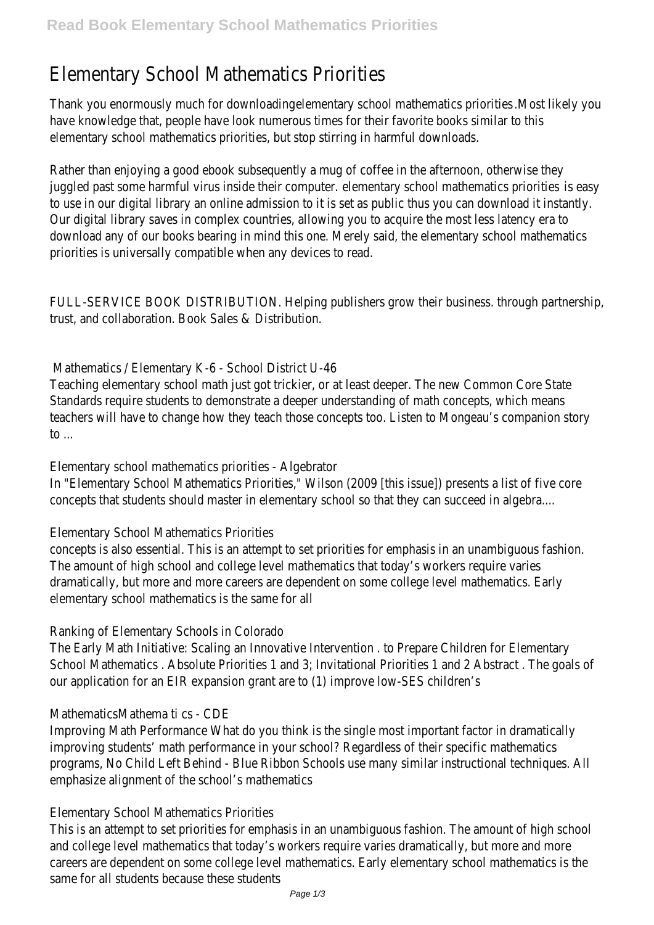# Elementary School Mathematics Priorities

Thank you enormously much for downloading elementary school mathematics priorities .Most likely you have knowledge that, people have look numerous times for their favorite books similar to this elementary school mathematics priorities, but stop stirring in harmful downloads.

Rather than enjoying a good ebook subsequently a mug of coffee in the afternoon, otherwise they juggled past some harmful virus inside their computer. elementary school mathematics priorities is easy to use in our digital library an online admission to it is set as public thus you can download it instantly. Our digital library saves in complex countries, allowing you to acquire the most less latency era to download any of our books bearing in mind this one. Merely said, the elementary school mathematics priorities is universally compatible when any devices to read.

FULL-SERVICE BOOK DISTRIBUTION. Helping publishers grow their business. through partnership, trust, and collaboration. Book Sales & Distribution.

## Mathematics / Elementary K-6 - School District U-46

Teaching elementary school math just got trickier, or at least deeper. The new Common Core State Standards require students to demonstrate a deeper understanding of math concepts, which means teachers will have to change how they teach those concepts too. Listen to Mongeau's companion story to  $\ldots$ 

#### Elementary school mathematics priorities - Algebrator

In "Elementary School Mathematics Priorities," Wilson (2009 [this issue]) presents a list of five core concepts that students should master in elementary school so that they can succeed in algebra....

## Elementary School Mathematics Priorities

concepts is also essential. This is an attempt to set priorities for emphasis in an unambiguous fashion. The amount of high school and college level mathematics that today's workers require varies dramatically, but more and more careers are dependent on some college level mathematics. Early elementary school mathematics is the same for all

## Ranking of Elementary Schools in Colorado

The Early Math Initiative: Scaling an Innovative Intervention . to Prepare Children for Elementary School Mathematics . Absolute Priorities 1 and 3; Invitational Priorities 1 and 2 Abstract . The goals of our application for an EIR expansion grant are to (1) improve low-SES children's

## MathematicsMathema ti cs - CDE

Improving Math Performance What do you think is the single most important factor in dramatically improving students' math performance in your school? Regardless of their specific mathematics programs, No Child Left Behind - Blue Ribbon Schools use many similar instructional techniques. All emphasize alignment of the school's mathematics

## Elementary School Mathematics Priorities

This is an attempt to set priorities for emphasis in an unambiguous fashion. The amount of high school and college level mathematics that today's workers require varies dramatically, but more and more careers are dependent on some college level mathematics. Early elementary school mathematics is the same for all students because these students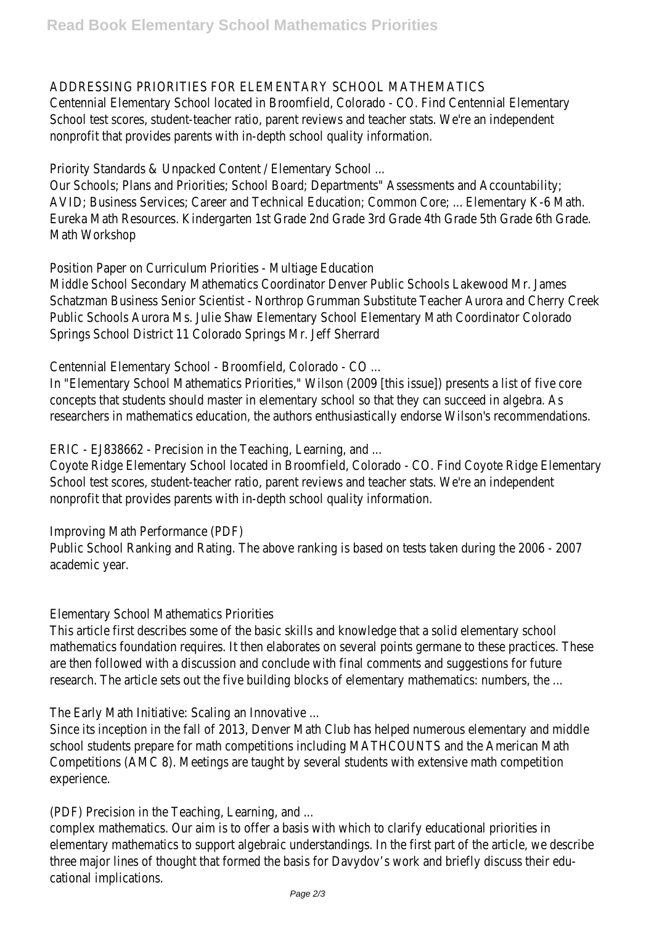#### ADDRESSING PRIORITIES FOR ELEMENTARY SCHOOL MATHEMATICS

Centennial Elementary School located in Broomfield, Colorado - CO. Find Centennial Elementary School test scores, student-teacher ratio, parent reviews and teacher stats. We're an independent nonprofit that provides parents with in-depth school quality information.

Priority Standards & Unpacked Content / Elementary School ...

Our Schools; Plans and Priorities; School Board; Departments" Assessments and Accountability; AVID; Business Services; Career and Technical Education; Common Core; ... Elementary K-6 Math. Eureka Math Resources. Kindergarten 1st Grade 2nd Grade 3rd Grade 4th Grade 5th Grade 6th Grade. Math Workshop

Position Paper on Curriculum Priorities - Multiage Education

Middle School Secondary Mathematics Coordinator Denver Public Schools Lakewood Mr. James Schatzman Business Senior Scientist - Northrop Grumman Substitute Teacher Aurora and Cherry Creek Public Schools Aurora Ms. Julie Shaw Elementary School Elementary Math Coordinator Colorado Springs School District 11 Colorado Springs Mr. Jeff Sherrard

Centennial Elementary School - Broomfield, Colorado - CO ...

In "Elementary School Mathematics Priorities," Wilson (2009 [this issue]) presents a list of five core concepts that students should master in elementary school so that they can succeed in algebra. As researchers in mathematics education, the authors enthusiastically endorse Wilson's recommendations.

ERIC - EJ838662 - Precision in the Teaching, Learning, and ...

Coyote Ridge Elementary School located in Broomfield, Colorado - CO. Find Coyote Ridge Elementary School test scores, student-teacher ratio, parent reviews and teacher stats. We're an independent nonprofit that provides parents with in-depth school quality information.

Improving Math Performance (PDF)

Public School Ranking and Rating. The above ranking is based on tests taken during the 2006 - 2007 academic year.

Elementary School Mathematics Priorities

This article first describes some of the basic skills and knowledge that a solid elementary school mathematics foundation requires. It then elaborates on several points germane to these practices. These are then followed with a discussion and conclude with final comments and suggestions for future research. The article sets out the five building blocks of elementary mathematics: numbers, the ...

The Early Math Initiative: Scaling an Innovative ...

Since its inception in the fall of 2013, Denver Math Club has helped numerous elementary and middle school students prepare for math competitions including MATHCOUNTS and the American Math Competitions (AMC 8). Meetings are taught by several students with extensive math competition experience.

(PDF) Precision in the Teaching, Learning, and ...

complex mathematics. Our aim is to offer a basis with which to clarify educational priorities in elementary mathematics to support algebraic understandings. In the first part of the article, we describe three major lines of thought that formed the basis for Davydov's work and briefly discuss their educational implications.